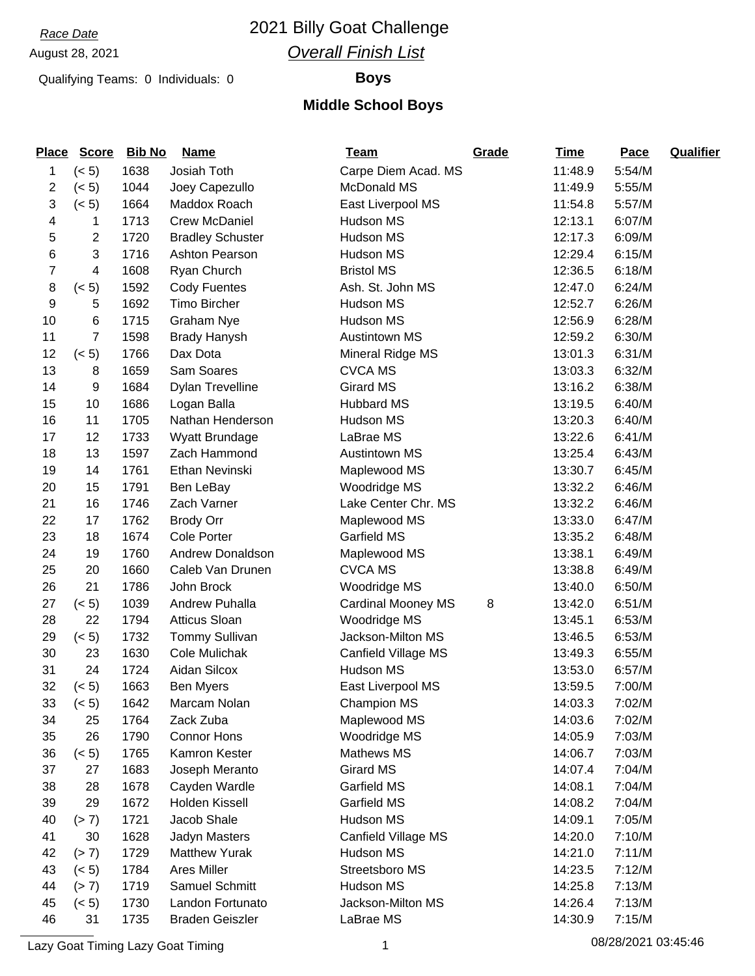## *Race Date* 2021 Billy Goat Challenge *Overall Finish List*

### Qualifying Teams: 0 Individuals: 0 **Boys**

### **Middle School Boys**

| <b>Place</b>   | <b>Score</b> | Bib No | <b>Name</b>             | <u>Team</u>               | Grade | <b>Time</b> | Pace   | <b>Qualifier</b> |
|----------------|--------------|--------|-------------------------|---------------------------|-------|-------------|--------|------------------|
| 1              | (< 5)        | 1638   | Josiah Toth             | Carpe Diem Acad. MS       |       | 11:48.9     | 5:54/M |                  |
| 2              | (< 5)        | 1044   | Joey Capezullo          | <b>McDonald MS</b>        |       | 11:49.9     | 5:55/M |                  |
| 3              | (< 5)        | 1664   | Maddox Roach            | East Liverpool MS         |       | 11:54.8     | 5:57/M |                  |
| 4              | 1            | 1713   | <b>Crew McDaniel</b>    | Hudson MS                 |       | 12:13.1     | 6:07/M |                  |
| 5              | 2            | 1720   | <b>Bradley Schuster</b> | Hudson MS                 |       | 12:17.3     | 6:09/M |                  |
| 6              | 3            | 1716   | Ashton Pearson          | Hudson MS                 |       | 12:29.4     | 6:15/M |                  |
| $\overline{7}$ | 4            | 1608   | Ryan Church             | <b>Bristol MS</b>         |       | 12:36.5     | 6:18/M |                  |
| 8              | (< 5)        | 1592   | <b>Cody Fuentes</b>     | Ash. St. John MS          |       | 12:47.0     | 6:24/M |                  |
| 9              | 5            | 1692   | <b>Timo Bircher</b>     | Hudson MS                 |       | 12:52.7     | 6:26/M |                  |
| 10             | 6            | 1715   | <b>Graham Nye</b>       | Hudson MS                 |       | 12:56.9     | 6:28/M |                  |
| 11             | 7            | 1598   | <b>Brady Hanysh</b>     | <b>Austintown MS</b>      |       | 12:59.2     | 6:30/M |                  |
| 12             | (< 5)        | 1766   | Dax Dota                | Mineral Ridge MS          |       | 13:01.3     | 6:31/M |                  |
| 13             | 8            | 1659   | Sam Soares              | <b>CVCA MS</b>            |       | 13:03.3     | 6:32/M |                  |
| 14             | 9            | 1684   | <b>Dylan Trevelline</b> | <b>Girard MS</b>          |       | 13:16.2     | 6:38/M |                  |
| 15             | 10           | 1686   | Logan Balla             | <b>Hubbard MS</b>         |       | 13:19.5     | 6:40/M |                  |
| 16             | 11           | 1705   | Nathan Henderson        | Hudson MS                 |       | 13:20.3     | 6:40/M |                  |
| 17             | 12           | 1733   | Wyatt Brundage          | LaBrae MS                 |       | 13:22.6     | 6:41/M |                  |
| 18             | 13           | 1597   | Zach Hammond            | <b>Austintown MS</b>      |       | 13:25.4     | 6:43/M |                  |
| 19             | 14           | 1761   | Ethan Nevinski          | Maplewood MS              |       | 13:30.7     | 6:45/M |                  |
| 20             | 15           | 1791   | Ben LeBay               | Woodridge MS              |       | 13:32.2     | 6:46/M |                  |
| 21             | 16           | 1746   | Zach Varner             | Lake Center Chr. MS       |       | 13:32.2     | 6:46/M |                  |
| 22             | 17           | 1762   | <b>Brody Orr</b>        | Maplewood MS              |       | 13:33.0     | 6:47/M |                  |
| 23             | 18           | 1674   | <b>Cole Porter</b>      | <b>Garfield MS</b>        |       | 13:35.2     | 6:48/M |                  |
| 24             | 19           | 1760   | <b>Andrew Donaldson</b> | Maplewood MS              |       | 13:38.1     | 6:49/M |                  |
| 25             | 20           | 1660   | Caleb Van Drunen        | <b>CVCA MS</b>            |       | 13:38.8     | 6:49/M |                  |
| 26             | 21           | 1786   | John Brock              | Woodridge MS              |       | 13:40.0     | 6:50/M |                  |
| 27             | (< 5)        | 1039   | <b>Andrew Puhalla</b>   | <b>Cardinal Mooney MS</b> | 8     | 13:42.0     | 6:51/M |                  |
| 28             | 22           | 1794   | <b>Atticus Sloan</b>    | Woodridge MS              |       | 13:45.1     | 6:53/M |                  |
| 29             | (< 5)        | 1732   | Tommy Sullivan          | Jackson-Milton MS         |       | 13:46.5     | 6:53/M |                  |
| 30             | 23           | 1630   | Cole Mulichak           | Canfield Village MS       |       | 13:49.3     | 6:55/M |                  |
| 31             | 24           | 1724   | Aidan Silcox            | Hudson MS                 |       | 13:53.0     | 6:57/M |                  |
| 32             | (< 5)        | 1663   | <b>Ben Myers</b>        | East Liverpool MS         |       | 13:59.5     | 7:00/M |                  |
| 33             | (< 5)        | 1642   | Marcam Nolan            | <b>Champion MS</b>        |       | 14:03.3     | 7:02/M |                  |
| 34             | 25           | 1764   | Zack Zuba               | Maplewood MS              |       | 14:03.6     | 7:02/M |                  |
| 35             | 26           | 1790   | <b>Connor Hons</b>      | Woodridge MS              |       | 14:05.9     | 7:03/M |                  |
| 36             | (< 5)        | 1765   | Kamron Kester           | Mathews MS                |       | 14:06.7     | 7:03/M |                  |
| 37             | 27           | 1683   | Joseph Meranto          | <b>Girard MS</b>          |       | 14:07.4     | 7:04/M |                  |
| 38             | 28           | 1678   | Cayden Wardle           | Garfield MS               |       | 14:08.1     | 7:04/M |                  |
| 39             | 29           | 1672   | Holden Kissell          | Garfield MS               |       | 14:08.2     | 7:04/M |                  |
| 40             | (> 7)        | 1721   | Jacob Shale             | Hudson MS                 |       | 14:09.1     | 7:05/M |                  |
| 41             | 30           | 1628   | Jadyn Masters           | Canfield Village MS       |       | 14:20.0     | 7:10/M |                  |
| 42             | (> 7)        | 1729   | <b>Matthew Yurak</b>    | Hudson MS                 |       | 14:21.0     | 7:11/M |                  |
| 43             | (< 5)        | 1784   | Ares Miller             | Streetsboro MS            |       | 14:23.5     | 7:12/M |                  |
| 44             | (> 7)        | 1719   | Samuel Schmitt          | Hudson MS                 |       | 14:25.8     | 7:13/M |                  |
| 45             | (< 5)        | 1730   | Landon Fortunato        | Jackson-Milton MS         |       | 14:26.4     | 7:13/M |                  |
| 46             | 31           | 1735   | <b>Braden Geiszler</b>  | LaBrae MS                 |       | 14:30.9     | 7:15/M |                  |

Lazy Goat Timing Lazy Goat Timing 1 08/28/2021 03:45:46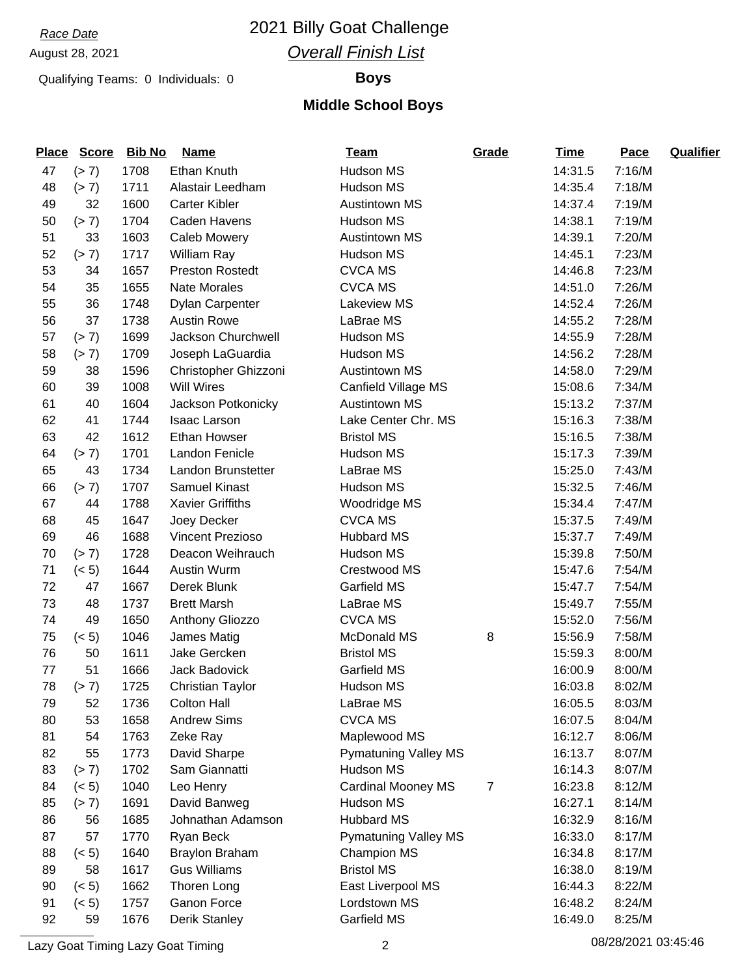## *Race Date* 2021 Billy Goat Challenge *Overall Finish List*

### Qualifying Teams: 0 Individuals: 0 **Boys**

### **Middle School Boys**

| <b>Place</b> | <b>Score</b> | <b>Bib No</b> | <b>Name</b>             | <u>Team</u>                 | Grade            | <b>Time</b> | Pace   | <b>Qualifier</b> |
|--------------|--------------|---------------|-------------------------|-----------------------------|------------------|-------------|--------|------------------|
| 47           | (> 7)        | 1708          | Ethan Knuth             | Hudson MS                   |                  | 14:31.5     | 7:16/M |                  |
| 48           | (> 7)        | 1711          | Alastair Leedham        | Hudson MS                   |                  | 14:35.4     | 7:18/M |                  |
| 49           | 32           | 1600          | <b>Carter Kibler</b>    | <b>Austintown MS</b>        |                  | 14:37.4     | 7:19/M |                  |
| 50           | (> 7)        | 1704          | Caden Havens            | Hudson MS                   |                  | 14:38.1     | 7:19/M |                  |
| 51           | 33           | 1603          | <b>Caleb Mowery</b>     | <b>Austintown MS</b>        |                  | 14:39.1     | 7:20/M |                  |
| 52           | (> 7)        | 1717          | William Ray             | Hudson MS                   |                  | 14:45.1     | 7:23/M |                  |
| 53           | 34           | 1657          | <b>Preston Rostedt</b>  | <b>CVCA MS</b>              |                  | 14:46.8     | 7:23/M |                  |
| 54           | 35           | 1655          | <b>Nate Morales</b>     | <b>CVCA MS</b>              |                  | 14:51.0     | 7:26/M |                  |
| 55           | 36           | 1748          | Dylan Carpenter         | Lakeview MS                 |                  | 14:52.4     | 7:26/M |                  |
| 56           | 37           | 1738          | <b>Austin Rowe</b>      | LaBrae MS                   |                  | 14:55.2     | 7:28/M |                  |
| 57           | (> 7)        | 1699          | Jackson Churchwell      | Hudson MS                   |                  | 14:55.9     | 7:28/M |                  |
| 58           | (> 7)        | 1709          | Joseph LaGuardia        | Hudson MS                   |                  | 14:56.2     | 7:28/M |                  |
| 59           | 38           | 1596          | Christopher Ghizzoni    | <b>Austintown MS</b>        |                  | 14:58.0     | 7:29/M |                  |
| 60           | 39           | 1008          | <b>Will Wires</b>       | Canfield Village MS         |                  | 15:08.6     | 7:34/M |                  |
| 61           | 40           | 1604          | Jackson Potkonicky      | <b>Austintown MS</b>        |                  | 15:13.2     | 7:37/M |                  |
| 62           | 41           | 1744          | <b>Isaac Larson</b>     | Lake Center Chr. MS         |                  | 15:16.3     | 7:38/M |                  |
| 63           | 42           | 1612          | <b>Ethan Howser</b>     | <b>Bristol MS</b>           |                  | 15:16.5     | 7:38/M |                  |
| 64           | (> 7)        | 1701          | Landon Fenicle          | Hudson MS                   |                  | 15:17.3     | 7:39/M |                  |
| 65           | 43           | 1734          | Landon Brunstetter      | LaBrae MS                   |                  | 15:25.0     | 7:43/M |                  |
| 66           | (> 7)        | 1707          | <b>Samuel Kinast</b>    | Hudson MS                   |                  | 15:32.5     | 7:46/M |                  |
| 67           | 44           | 1788          | <b>Xavier Griffiths</b> | Woodridge MS                |                  | 15:34.4     | 7:47/M |                  |
| 68           | 45           | 1647          | Joey Decker             | <b>CVCA MS</b>              |                  | 15:37.5     | 7:49/M |                  |
| 69           | 46           | 1688          | <b>Vincent Prezioso</b> | <b>Hubbard MS</b>           |                  | 15:37.7     | 7:49/M |                  |
| 70           | (> 7)        | 1728          | Deacon Weihrauch        | Hudson MS                   |                  | 15:39.8     | 7:50/M |                  |
| 71           | (< 5)        | 1644          | Austin Wurm             | Crestwood MS                |                  | 15:47.6     | 7:54/M |                  |
| 72           | 47           | 1667          | Derek Blunk             | Garfield MS                 |                  | 15:47.7     | 7:54/M |                  |
| 73           | 48           | 1737          | <b>Brett Marsh</b>      | LaBrae MS                   |                  | 15:49.7     | 7:55/M |                  |
| 74           | 49           | 1650          | Anthony Gliozzo         | <b>CVCA MS</b>              |                  | 15:52.0     | 7:56/M |                  |
| 75           | (< 5)        | 1046          | James Matig             | McDonald MS                 | 8                | 15:56.9     | 7:58/M |                  |
| 76           | 50           | 1611          | Jake Gercken            | <b>Bristol MS</b>           |                  | 15:59.3     | 8:00/M |                  |
| 77           | 51           | 1666          | Jack Badovick           | Garfield MS                 |                  | 16:00.9     | 8:00/M |                  |
| 78           | (> 7)        | 1725          | <b>Christian Taylor</b> | Hudson MS                   |                  | 16:03.8     | 8:02/M |                  |
| 79           | 52           | 1736          | <b>Colton Hall</b>      | LaBrae MS                   |                  | 16:05.5     | 8:03/M |                  |
| 80           | 53           | 1658          | <b>Andrew Sims</b>      | <b>CVCA MS</b>              |                  | 16:07.5     | 8:04/M |                  |
| 81           | 54           | 1763          | Zeke Ray                | Maplewood MS                |                  | 16:12.7     | 8:06/M |                  |
| 82           | 55           | 1773          | David Sharpe            | <b>Pymatuning Valley MS</b> |                  | 16:13.7     | 8:07/M |                  |
| 83           | (> 7)        | 1702          | Sam Giannatti           | Hudson MS                   |                  | 16:14.3     | 8:07/M |                  |
| 84           | (< 5)        | 1040          | Leo Henry               | <b>Cardinal Mooney MS</b>   | $\boldsymbol{7}$ | 16:23.8     | 8:12/M |                  |
| 85           | (> 7)        | 1691          | David Banweg            | Hudson MS                   |                  | 16:27.1     | 8:14/M |                  |
| 86           | 56           | 1685          | Johnathan Adamson       | <b>Hubbard MS</b>           |                  | 16:32.9     | 8:16/M |                  |
| 87           | 57           | 1770          | Ryan Beck               | <b>Pymatuning Valley MS</b> |                  | 16:33.0     | 8:17/M |                  |
| 88           | (< 5)        | 1640          | <b>Braylon Braham</b>   | <b>Champion MS</b>          |                  | 16:34.8     | 8:17/M |                  |
| 89           | 58           | 1617          | <b>Gus Williams</b>     | <b>Bristol MS</b>           |                  | 16:38.0     | 8:19/M |                  |
| 90           | (< 5)        | 1662          | Thoren Long             | East Liverpool MS           |                  | 16:44.3     | 8:22/M |                  |
| 91           | (< 5)        | 1757          | Ganon Force             | Lordstown MS                |                  | 16:48.2     | 8:24/M |                  |
| 92           | 59           | 1676          | Derik Stanley           | Garfield MS                 |                  | 16:49.0     | 8:25/M |                  |

Lazy Goat Timing Lazy Goat Timing 2 08/28/2021 03:45:46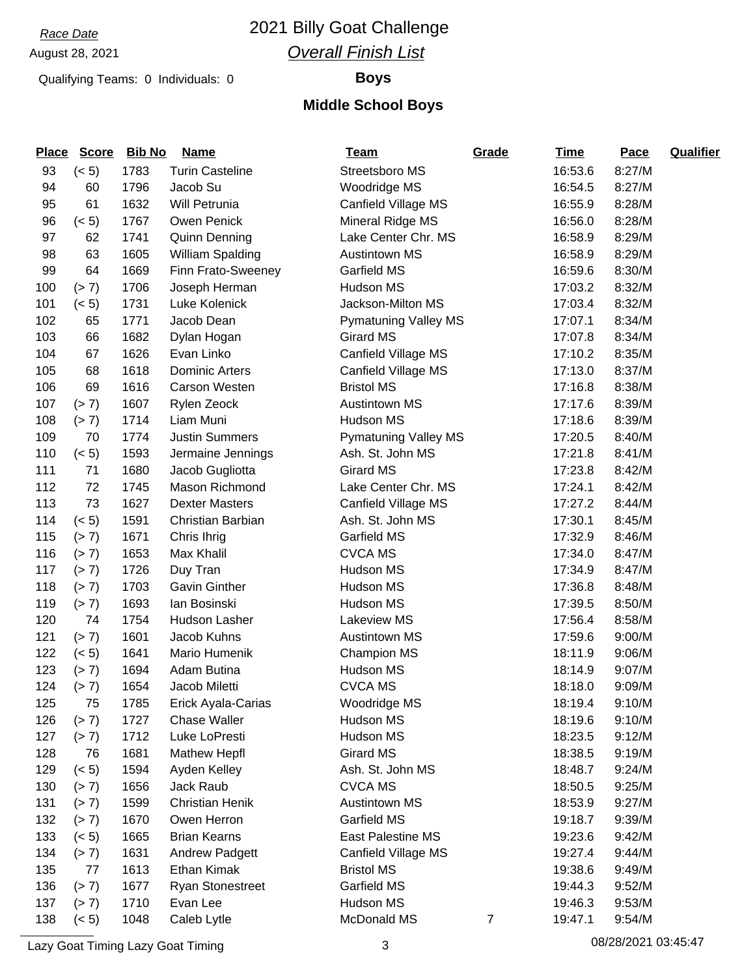## *Race Date* 2021 Billy Goat Challenge *Overall Finish List*

### Qualifying Teams: 0 Individuals: 0 **Boys**

### **Middle School Boys**

| <b>Place</b> | <b>Score</b> | <b>Bib No</b> | <b>Name</b>             | <u>Team</u>                 | Grade          | <b>Time</b> | Pace   | <b>Qualifier</b> |
|--------------|--------------|---------------|-------------------------|-----------------------------|----------------|-------------|--------|------------------|
| 93           | (< 5)        | 1783          | <b>Turin Casteline</b>  | Streetsboro MS              |                | 16:53.6     | 8:27/M |                  |
| 94           | 60           | 1796          | Jacob Su                | Woodridge MS                |                | 16:54.5     | 8:27/M |                  |
| 95           | 61           | 1632          | Will Petrunia           | Canfield Village MS         |                | 16:55.9     | 8:28/M |                  |
| 96           | (< 5)        | 1767          | Owen Penick             | Mineral Ridge MS            |                | 16:56.0     | 8:28/M |                  |
| 97           | 62           | 1741          | <b>Quinn Denning</b>    | Lake Center Chr. MS         |                | 16:58.9     | 8:29/M |                  |
| 98           | 63           | 1605          | William Spalding        | <b>Austintown MS</b>        |                | 16:58.9     | 8:29/M |                  |
| 99           | 64           | 1669          | Finn Frato-Sweeney      | Garfield MS                 |                | 16:59.6     | 8:30/M |                  |
| 100          | (> 7)        | 1706          | Joseph Herman           | Hudson MS                   |                | 17:03.2     | 8:32/M |                  |
| 101          | (< 5)        | 1731          | Luke Kolenick           | Jackson-Milton MS           |                | 17:03.4     | 8:32/M |                  |
| 102          | 65           | 1771          | Jacob Dean              | <b>Pymatuning Valley MS</b> |                | 17:07.1     | 8:34/M |                  |
| 103          | 66           | 1682          | Dylan Hogan             | <b>Girard MS</b>            |                | 17:07.8     | 8:34/M |                  |
| 104          | 67           | 1626          | Evan Linko              | Canfield Village MS         |                | 17:10.2     | 8:35/M |                  |
| 105          | 68           | 1618          | <b>Dominic Arters</b>   | Canfield Village MS         |                | 17:13.0     | 8:37/M |                  |
| 106          | 69           | 1616          | Carson Westen           | <b>Bristol MS</b>           |                | 17:16.8     | 8:38/M |                  |
| 107          | (> 7)        | 1607          | Rylen Zeock             | <b>Austintown MS</b>        |                | 17:17.6     | 8:39/M |                  |
| 108          | (> 7)        | 1714          | Liam Muni               | <b>Hudson MS</b>            |                | 17:18.6     | 8:39/M |                  |
| 109          | 70           | 1774          | <b>Justin Summers</b>   | <b>Pymatuning Valley MS</b> |                | 17:20.5     | 8:40/M |                  |
| 110          | (< 5)        | 1593          | Jermaine Jennings       | Ash. St. John MS            |                | 17:21.8     | 8:41/M |                  |
| 111          | 71           | 1680          | Jacob Gugliotta         | <b>Girard MS</b>            |                | 17:23.8     | 8:42/M |                  |
| 112          | 72           | 1745          | Mason Richmond          | Lake Center Chr. MS         |                | 17:24.1     | 8:42/M |                  |
| 113          | 73           | 1627          | <b>Dexter Masters</b>   | Canfield Village MS         |                | 17:27.2     | 8:44/M |                  |
| 114          | (< 5)        | 1591          | Christian Barbian       | Ash. St. John MS            |                | 17:30.1     | 8:45/M |                  |
| 115          | (> 7)        | 1671          | Chris Ihrig             | Garfield MS                 |                | 17:32.9     | 8:46/M |                  |
| 116          | (> 7)        | 1653          | Max Khalil              | <b>CVCA MS</b>              |                | 17:34.0     | 8:47/M |                  |
| 117          | (> 7)        | 1726          | Duy Tran                | Hudson MS                   |                | 17:34.9     | 8:47/M |                  |
| 118          | (> 7)        | 1703          | <b>Gavin Ginther</b>    | Hudson MS                   |                | 17:36.8     | 8:48/M |                  |
| 119          | (> 7)        | 1693          | lan Bosinski            | Hudson MS                   |                | 17:39.5     | 8:50/M |                  |
| 120          | 74           | 1754          | Hudson Lasher           | <b>Lakeview MS</b>          |                | 17:56.4     | 8:58/M |                  |
| 121          | (> 7)        | 1601          | Jacob Kuhns             | <b>Austintown MS</b>        |                | 17:59.6     | 9:00/M |                  |
| 122          | (< 5)        | 1641          | Mario Humenik           | <b>Champion MS</b>          |                | 18:11.9     | 9:06/M |                  |
| 123          | (> 7)        | 1694          | Adam Butina             | Hudson MS                   |                | 18:14.9     | 9:07/M |                  |
| 124          | (> 7)        | 1654          | Jacob Miletti           | <b>CVCA MS</b>              |                | 18:18.0     | 9:09/M |                  |
| 125          | 75           | 1785          | Erick Ayala-Carias      | Woodridge MS                |                | 18:19.4     | 9:10/M |                  |
| 126          | (> 7)        | 1727          | <b>Chase Waller</b>     | Hudson MS                   |                | 18:19.6     | 9:10/M |                  |
| 127          | (> 7)        | 1712          | Luke LoPresti           | Hudson MS                   |                | 18:23.5     | 9:12/M |                  |
| 128          | 76           | 1681          | <b>Mathew Hepfl</b>     | Girard MS                   |                | 18:38.5     | 9:19/M |                  |
| 129          | (< 5)        | 1594          | Ayden Kelley            | Ash. St. John MS            |                | 18:48.7     | 9:24/M |                  |
| 130          | (> 7)        | 1656          | Jack Raub               | <b>CVCA MS</b>              |                | 18:50.5     | 9:25/M |                  |
| 131          | (> 7)        | 1599          | <b>Christian Henik</b>  | <b>Austintown MS</b>        |                | 18:53.9     | 9:27/M |                  |
| 132          | (> 7)        | 1670          | Owen Herron             | Garfield MS                 |                | 19:18.7     | 9:39/M |                  |
| 133          | (< 5)        | 1665          | <b>Brian Kearns</b>     | East Palestine MS           |                | 19:23.6     | 9:42/M |                  |
| 134          | (> 7)        | 1631          | Andrew Padgett          | Canfield Village MS         |                | 19:27.4     | 9:44/M |                  |
| 135          | 77           | 1613          | Ethan Kimak             | <b>Bristol MS</b>           |                | 19:38.6     | 9:49/M |                  |
| 136          | (> 7)        | 1677          | <b>Ryan Stonestreet</b> | Garfield MS                 |                | 19:44.3     | 9:52/M |                  |
| 137          | (> 7)        | 1710          | Evan Lee                | Hudson MS                   |                | 19:46.3     | 9:53/M |                  |
| 138          | (< 5)        | 1048          | Caleb Lytle             | McDonald MS                 | $\overline{7}$ | 19:47.1     | 9:54/M |                  |

Lazy Goat Timing Lazy Goat Timing 2001 120 3 3 2002 1 2010 1 2021 1 2022 1 203 45:47